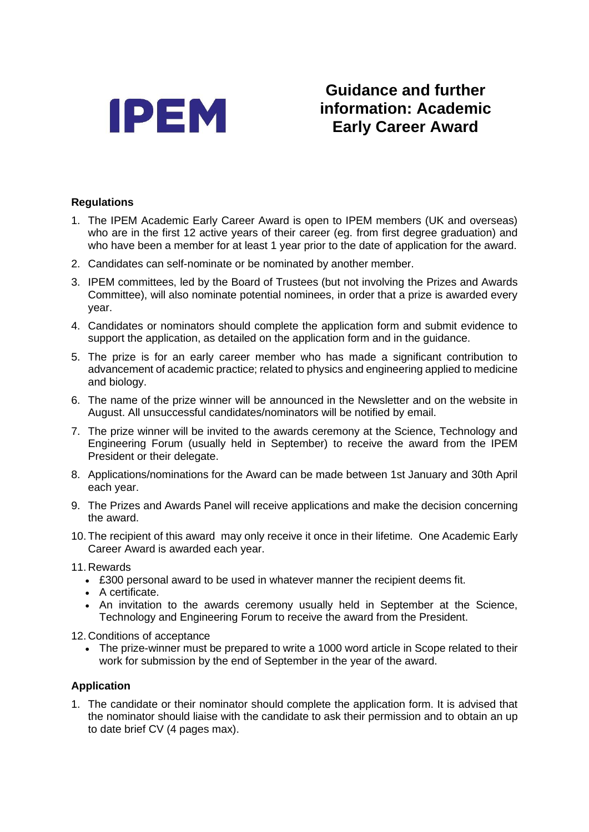

## **Guidance and further information: Academic Early Career Award**

## **Regulations**

- 1. The IPEM Academic Early Career Award is open to IPEM members (UK and overseas) who are in the first 12 active years of their career (eg. from first degree graduation) and who have been a member for at least 1 year prior to the date of application for the award.
- 2. Candidates can self-nominate or be nominated by another member.
- 3. IPEM committees, led by the Board of Trustees (but not involving the Prizes and Awards Committee), will also nominate potential nominees, in order that a prize is awarded every year.
- 4. Candidates or nominators should complete the application form and submit evidence to support the application, as detailed on the application form and in the guidance.
- 5. The prize is for an early career member who has made a significant contribution to advancement of academic practice; related to physics and engineering applied to medicine and biology.
- 6. The name of the prize winner will be announced in the Newsletter and on the website in August. All unsuccessful candidates/nominators will be notified by email.
- 7. The prize winner will be invited to the awards ceremony at the Science, Technology and Engineering Forum (usually held in September) to receive the award from the IPEM President or their delegate.
- 8. Applications/nominations for the Award can be made between 1st January and 30th April each year.
- 9. The Prizes and Awards Panel will receive applications and make the decision concerning the award.
- 10. The recipient of this award may only receive it once in their lifetime. One Academic Early Career Award is awarded each year.
- 11. Rewards
	- £300 personal award to be used in whatever manner the recipient deems fit.
	- A certificate.
	- An invitation to the awards ceremony usually held in September at the Science, Technology and Engineering Forum to receive the award from the President.

12. Conditions of acceptance

• The prize-winner must be prepared to write a 1000 word article in Scope related to their work for submission by the end of September in the year of the award.

## **Application**

1. The candidate or their nominator should complete the application form. It is advised that the nominator should liaise with the candidate to ask their permission and to obtain an up to date brief CV (4 pages max).